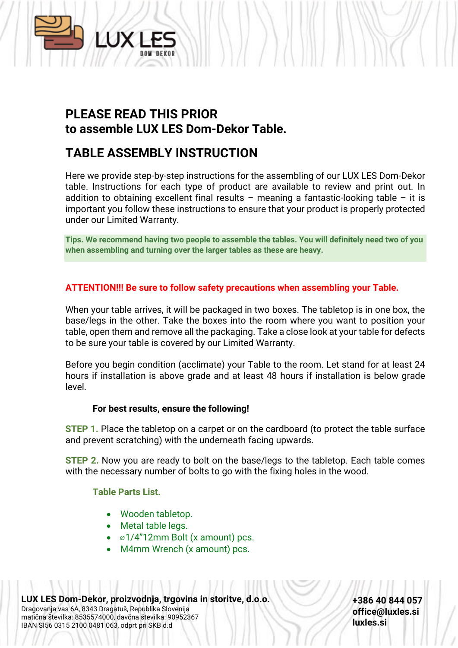

# **PLEASE READ THIS PRIOR to assemble LUX LES Dom-Dekor Table.**

## **TABLE ASSEMBLY INSTRUCTION**

Here we provide step-by-step instructions for the assembling of our LUX LES Dom-Dekor table. Instructions for each type of product are available to review and print out. In addition to obtaining excellent final results – meaning a fantastic-looking table – it is important you follow these instructions to ensure that your product is properly protected under our Limited Warranty.

**Tips. We recommend having two people to assemble the tables. You will definitely need two of you when assembling and turning over the larger tables as these are heavy.**

### **ATTENTION!!! Be sure to follow safety precautions when assembling your Table.**

When your table arrives, it will be packaged in two boxes. The tabletop is in one box, the base/legs in the other. Take the boxes into the room where you want to position your table, open them and remove all the packaging. Take a close look at your table for defects to be sure your table is covered by our Limited Warranty.

Before you begin condition (acclimate) your Table to the room. Let stand for at least 24 hours if installation is above grade and at least 48 hours if installation is below grade level.

#### **For best results, ensure the following!**

**STEP 1.** Place the tabletop on a carpet or on the cardboard (to protect the table surface and prevent scratching) with the underneath facing upwards.

**STEP 2.** Now you are ready to bolt on the base/legs to the tabletop. Each table comes with the necessary number of bolts to go with the fixing holes in the wood.

#### **Table Parts List.**

- Wooden tabletop.
- Metal table legs.
- ⌀1/4"12mm Bolt (x amount) pcs.
- M4mm Wrench (x amount) pcs.

**LUX LES Dom-Dekor, proizvodnja, trgovina in storitve, d.o.o.** Dragovanja vas 6A, 8343 Dragatuš, Republika Slovenija matična številka: 8535574000, davčna številka: 90952367 IBAN SI56 0315 2100 0481 063, odprt pri SKB d.d

**+386 40 844 057 office@luxles.si luxles.si**